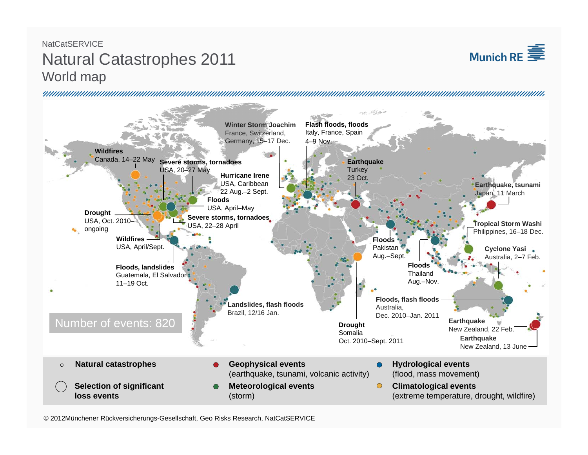## NatCatSERVICENatural Catastrophes 2011 World map





© 2012Münchener Rückversicherungs-Gesellschaft, Geo Risks Research, NatCatSERVICE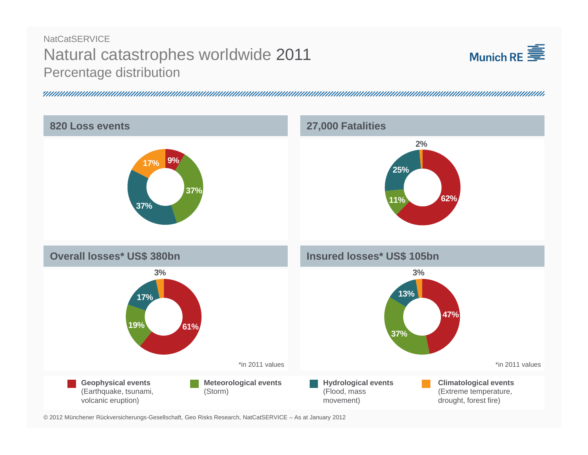# **NatCatSERVICE** Natural catastrophes worldwide 2011 Percentage distribution





© 2012 Münchener Rückversicherungs-Gesellschaft, Geo Risks Research, NatCatSERVICE – As at January 2012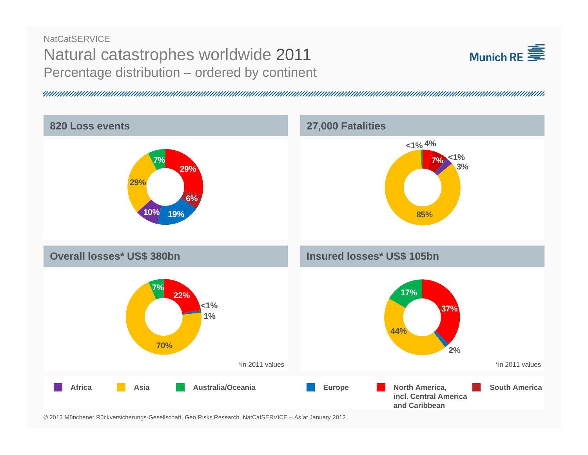### **NatCatSERVICE** Natural catastrophes worldwide 2011 Percentage distribution – ordered by continent



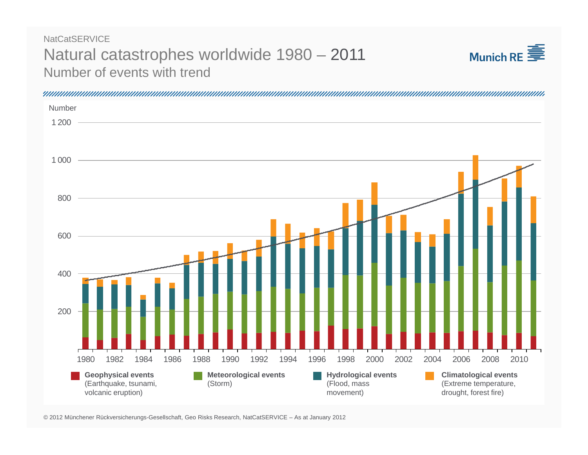#### Natural catastrophes worldwide 1980 – 2011 Number of events with trend**NatCatSERVICE**



Number1 2001 0008006004002001980 1982 1984 1986 1988 1990 1992 1994 1996 1998 2000 2002 2004 2006 2008 2010**Geophysical events Meteorological events Hydrological events Climatological events** (Earthquake, tsunami, (Extreme temperature, (Storm) (Flood, mass volcanic eruption) drought, forest fire) movement)

© 2012 Münchener Rückversicherungs-Gesellschaft, Geo Risks Research, NatCatSERVICE – As at January 2012